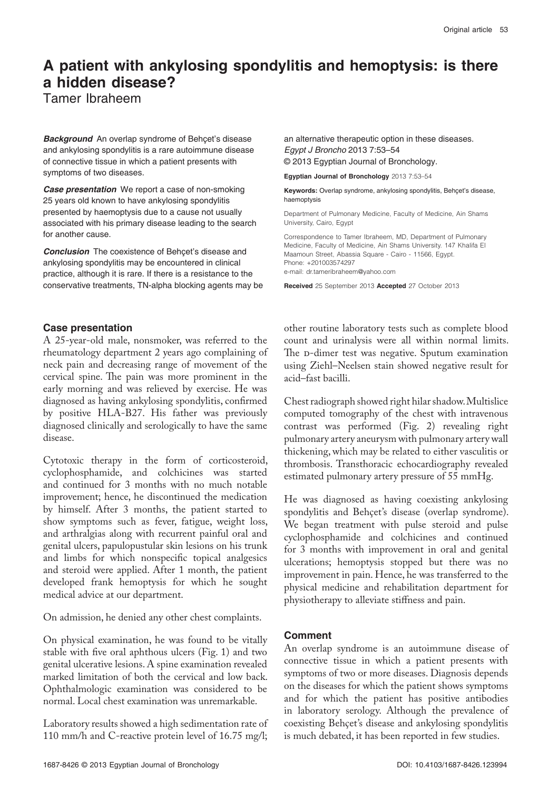# **A patient with ankylosing spondylitis and hemoptysis: is there a hidden disease?**

Tamer Ibraheem

**Background** An overlap syndrome of Behçet's disease and ankylosing spondylitis is a rare autoimmune disease of connective tissue in which a patient presents with symptoms of two diseases.

**Case presentation** We report a case of non-smoking 25 years old known to have ankylosing spondylitis presented by haemoptysis due to a cause not usually associated with his primary disease leading to the search for another cause.

**Conclusion** The coexistence of Behçet's disease and ankylosing spondylitis may be encountered in clinical practice, although it is rare. If there is a resistance to the conservative treatments, TN-alpha blocking agents may be

## **Case presentation**

A 25-year-old male, nonsmoker, was referred to the rheumatology department 2 years ago complaining of neck pain and decreasing range of movement of the cervical spine. The pain was more prominent in the early morning and was relieved by exercise. He was diagnosed as having ankylosing spondylitis, confirmed by positive HLA-B27. His father was previously diagnosed clinically and serologically to have the same disease.

Cytotoxic therapy in the form of corticosteroid, cyclophosphamide, and colchicines was started and continued for 3 months with no much notable improvement; hence, he discontinued the medication by himself. After 3 months, the patient started to show symptoms such as fever, fatigue, weight loss, and arthralgias along with recurrent painful oral and genital ulcers, papulopustular skin lesions on his trunk and limbs for which nonspecific topical analgesics and steroid were applied. After 1 month, the patient developed frank hemoptysis for which he sought medical advice at our department.

On admission, he denied any other chest complaints.

On physical examination, he was found to be vitally stable with five oral aphthous ulcers (Fig. 1) and two genital ulcerative lesions. A spine examination revealed marked limitation of both the cervical and low back. Ophthalmologic examination was considered to be normal. Local chest examination was unremarkable.

Laboratory results showed a high sedimentation rate of 110 mm/h and C-reactive protein level of 16.75 mg/l;

an alternative therapeutic option in these diseases. *Egypt J Broncho* 2013 7:53–54 © 2013 Egyptian Journal of Bronchology.

**Egyptian Journal of Bronchology** 2013 7:53–54

**Keywords:** Overlap syndrome, ankylosing spondylitis, Behçet's disease, haemoptysis

Department of Pulmonary Medicine, Faculty of Medicine, Ain Shams University, Cairo, Egypt

Correspondence to Tamer Ibraheem, MD, Department of Pulmonary Medicine, Faculty of Medicine, Ain Shams University. 147 Khalifa El Maamoun Street, Abassia Square - Cairo - 11566, Egypt. Phone: +201003574297 e-mail: dr.tameribraheem@yahoo.com

**Received** 25 September 2013 **Accepted** 27 October 2013

other routine laboratory tests such as complete blood count and urinalysis were all within normal limits. The D-dimer test was negative. Sputum examination using Ziehl–Neelsen stain showed negative result for acid–fast bacilli.

Chest radiograph showed right hilar shadow. Multislice computed tomography of the chest with intravenous contrast was performed (Fig. 2) revealing right pulmonary artery aneurysm with pulmonary artery wall thickening, which may be related to either vasculitis or thrombosis. Transthoracic echocardiography revealed estimated pulmonary artery pressure of 55 mmHg.

He was diagnosed as having coexisting ankylosing spondylitis and Behçet's disease (overlap syndrome). We began treatment with pulse steroid and pulse cyclophosphamide and colchicines and continued for 3 months with improvement in oral and genital ulcerations; hemoptysis stopped but there was no improvement in pain. Hence, he was transferred to the physical medicine and rehabilitation department for physiotherapy to alleviate stiffness and pain.

## **Comment**

An overlap syndrome is an autoimmune disease of connective tissue in which a patient presents with symptoms of two or more diseases. Diagnosis depends on the diseases for which the patient shows symptoms and for which the patient has positive antibodies in laboratory serology. Although the prevalence of coexisting Behçet's disease and ankylosing spondylitis is much debated, it has been reported in few studies.